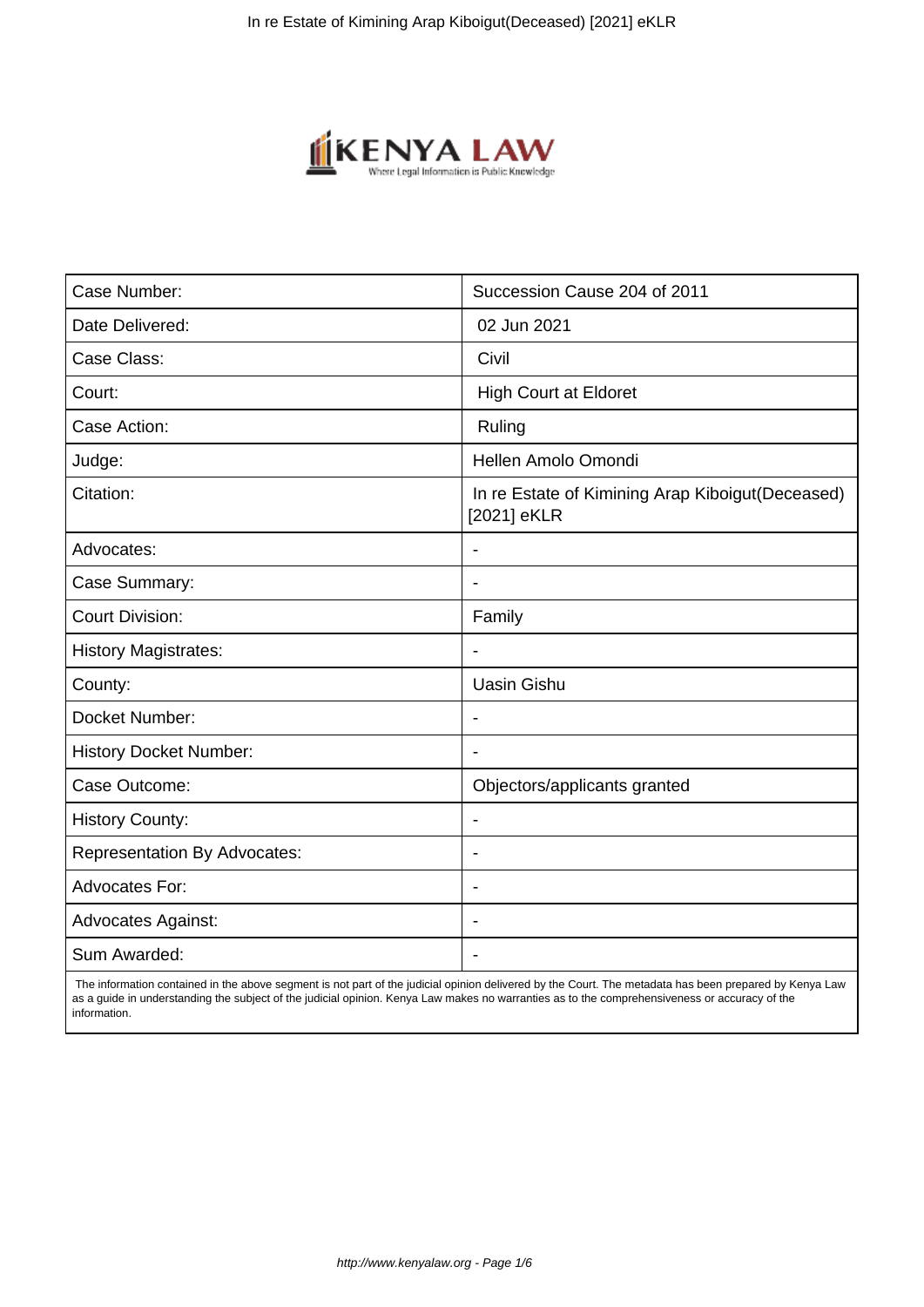

| Case Number:                        | Succession Cause 204 of 2011                                     |
|-------------------------------------|------------------------------------------------------------------|
| Date Delivered:                     | 02 Jun 2021                                                      |
| Case Class:                         | Civil                                                            |
| Court:                              | <b>High Court at Eldoret</b>                                     |
| Case Action:                        | Ruling                                                           |
| Judge:                              | Hellen Amolo Omondi                                              |
| Citation:                           | In re Estate of Kimining Arap Kiboigut (Deceased)<br>[2021] eKLR |
| Advocates:                          |                                                                  |
| Case Summary:                       | $\overline{\phantom{a}}$                                         |
| <b>Court Division:</b>              | Family                                                           |
| <b>History Magistrates:</b>         | $\overline{\phantom{a}}$                                         |
| County:                             | <b>Uasin Gishu</b>                                               |
| Docket Number:                      | $\overline{\phantom{a}}$                                         |
| <b>History Docket Number:</b>       |                                                                  |
| Case Outcome:                       | Objectors/applicants granted                                     |
| <b>History County:</b>              | $\overline{\phantom{a}}$                                         |
| <b>Representation By Advocates:</b> | $\overline{\phantom{a}}$                                         |
| <b>Advocates For:</b>               | $\overline{\phantom{a}}$                                         |
| <b>Advocates Against:</b>           | $\blacksquare$                                                   |
| Sum Awarded:                        |                                                                  |

 The information contained in the above segment is not part of the judicial opinion delivered by the Court. The metadata has been prepared by Kenya Law as a guide in understanding the subject of the judicial opinion. Kenya Law makes no warranties as to the comprehensiveness or accuracy of the information.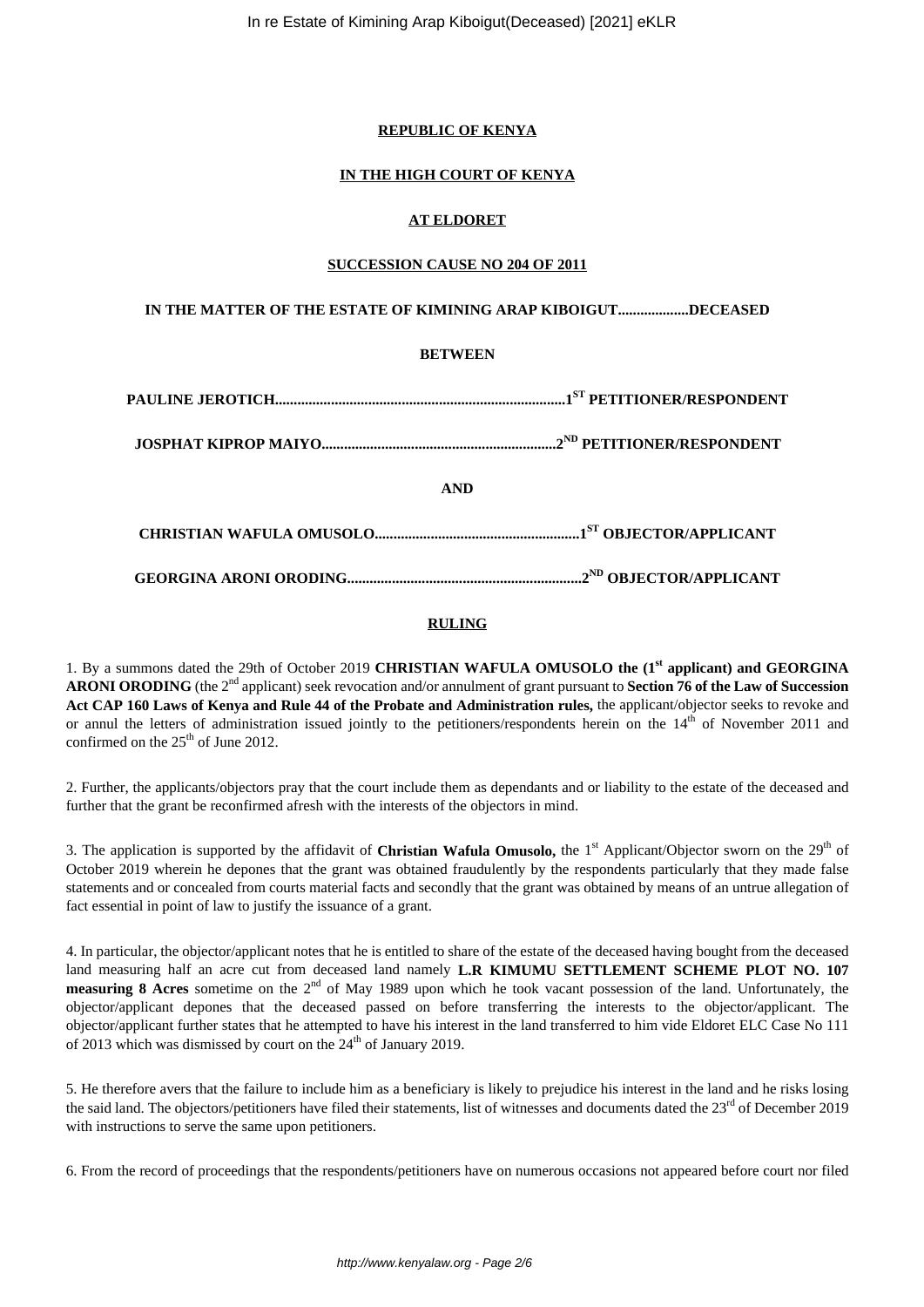## **REPUBLIC OF KENYA**

## **IN THE HIGH COURT OF KENYA**

# **AT ELDORET**

## **SUCCESSION CAUSE NO 204 OF 2011**

# **IN THE MATTER OF THE ESTATE OF KIMINING ARAP KIBOIGUT...................DECEASED**

## **BETWEEN**

| <b>AND</b> |  |
|------------|--|
|            |  |
|            |  |
|            |  |

# **RULING**

1. By a summons dated the 29th of October 2019 **CHRISTIAN WAFULA OMUSOLO the (1st applicant) and GEORGINA ARONI ORODING** (the 2nd applicant) seek revocation and/or annulment of grant pursuant to **Section 76 of the Law of Succession Act CAP 160 Laws of Kenya and Rule 44 of the Probate and Administration rules,** the applicant/objector seeks to revoke and or annul the letters of administration issued jointly to the petitioners/respondents herein on the 14<sup>th</sup> of November 2011 and confirmed on the  $25<sup>th</sup>$  of June 2012.

2. Further, the applicants/objectors pray that the court include them as dependants and or liability to the estate of the deceased and further that the grant be reconfirmed afresh with the interests of the objectors in mind.

3. The application is supported by the affidavit of **Christian Wafula Omusolo**, the 1<sup>st</sup> Applicant/Objector sworn on the 29<sup>th</sup> of October 2019 wherein he depones that the grant was obtained fraudulently by the respondents particularly that they made false statements and or concealed from courts material facts and secondly that the grant was obtained by means of an untrue allegation of fact essential in point of law to justify the issuance of a grant.

4. In particular, the objector/applicant notes that he is entitled to share of the estate of the deceased having bought from the deceased land measuring half an acre cut from deceased land namely **L.R KIMUMU SETTLEMENT SCHEME PLOT NO. 107 measuring 8 Acres** sometime on the 2<sup>nd</sup> of May 1989 upon which he took vacant possession of the land. Unfortunately, the objector/applicant depones that the deceased passed on before transferring the interests to the objector/applicant. The objector/applicant further states that he attempted to have his interest in the land transferred to him vide Eldoret ELC Case No 111 of 2013 which was dismissed by court on the  $24<sup>th</sup>$  of January 2019.

5. He therefore avers that the failure to include him as a beneficiary is likely to prejudice his interest in the land and he risks losing the said land. The objectors/petitioners have filed their statements, list of witnesses and documents dated the 23<sup>rd</sup> of December 2019 with instructions to serve the same upon petitioners.

6. From the record of proceedings that the respondents/petitioners have on numerous occasions not appeared before court nor filed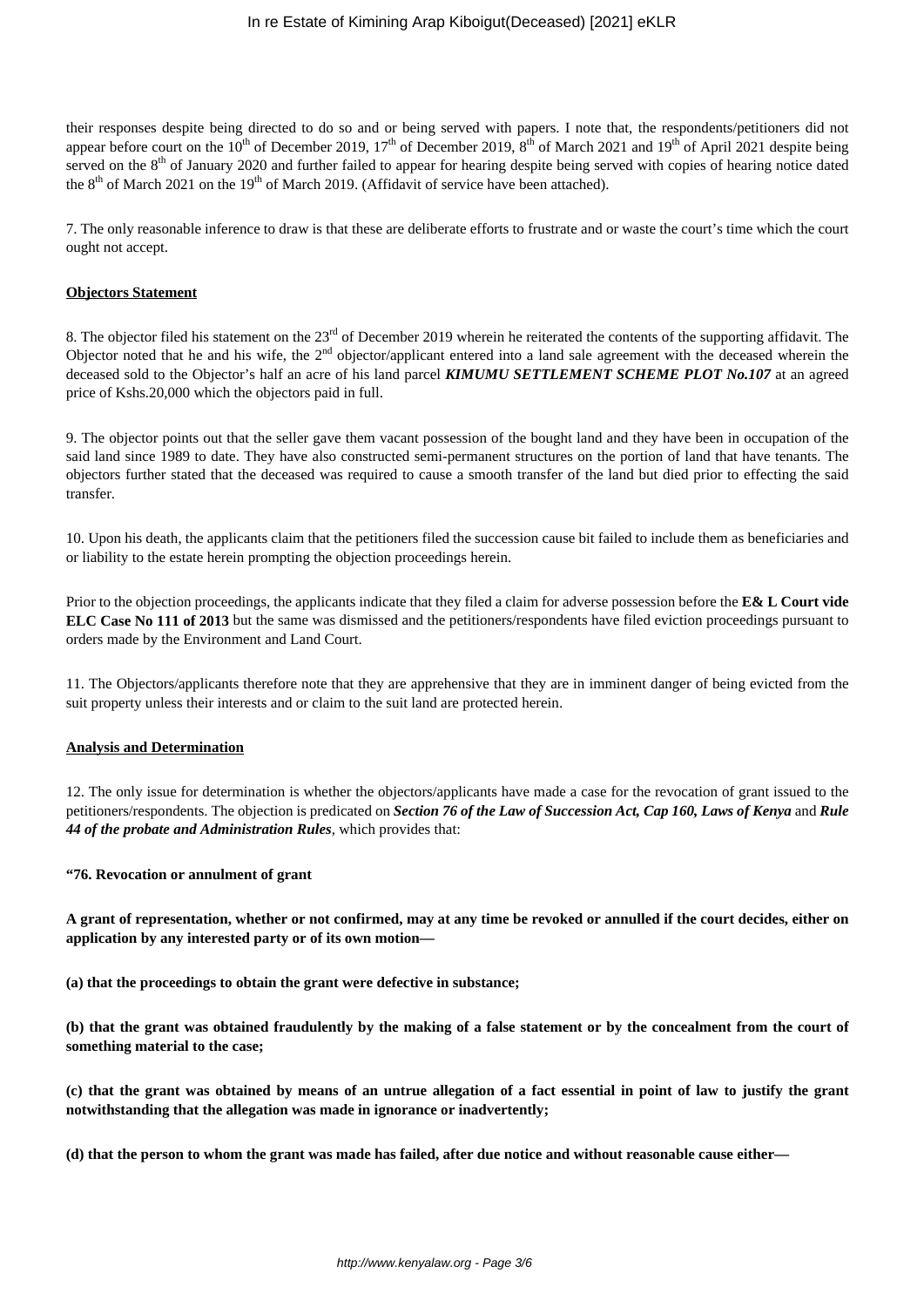their responses despite being directed to do so and or being served with papers. I note that, the respondents/petitioners did not appear before court on the  $10^{th}$  of December 2019,  $17^{th}$  of December 2019,  $8^{th}$  of March 2021 and  $19^{th}$  of April 2021 despite being served on the  $8<sup>th</sup>$  of January 2020 and further failed to appear for hearing despite being served with copies of hearing notice dated the  $8<sup>th</sup>$  of March 2021 on the 19<sup>th</sup> of March 2019. (Affidavit of service have been attached).

7. The only reasonable inference to draw is that these are deliberate efforts to frustrate and or waste the court's time which the court ought not accept.

#### **Objectors Statement**

8. The objector filed his statement on the 23<sup>rd</sup> of December 2019 wherein he reiterated the contents of the supporting affidavit. The Objector noted that he and his wife, the 2<sup>nd</sup> objector/applicant entered into a land sale agreement with the deceased wherein the deceased sold to the Objector's half an acre of his land parcel *KIMUMU SETTLEMENT SCHEME PLOT No.107* at an agreed price of Kshs.20,000 which the objectors paid in full.

9. The objector points out that the seller gave them vacant possession of the bought land and they have been in occupation of the said land since 1989 to date. They have also constructed semi-permanent structures on the portion of land that have tenants. The objectors further stated that the deceased was required to cause a smooth transfer of the land but died prior to effecting the said transfer.

10. Upon his death, the applicants claim that the petitioners filed the succession cause bit failed to include them as beneficiaries and or liability to the estate herein prompting the objection proceedings herein.

Prior to the objection proceedings, the applicants indicate that they filed a claim for adverse possession before the **E& L Court vide ELC Case No 111 of 2013** but the same was dismissed and the petitioners/respondents have filed eviction proceedings pursuant to orders made by the Environment and Land Court.

11. The Objectors/applicants therefore note that they are apprehensive that they are in imminent danger of being evicted from the suit property unless their interests and or claim to the suit land are protected herein.

## **Analysis and Determination**

12. The only issue for determination is whether the objectors/applicants have made a case for the revocation of grant issued to the petitioners/respondents. The objection is predicated on *Section 76 of the Law of Succession Act, Cap 160, Laws of Kenya* and *Rule 44 of the probate and Administration Rules*, which provides that:

#### **"76. Revocation or annulment of grant**

**A grant of representation, whether or not confirmed, may at any time be revoked or annulled if the court decides, either on application by any interested party or of its own motion—**

**(a) that the proceedings to obtain the grant were defective in substance;**

**(b) that the grant was obtained fraudulently by the making of a false statement or by the concealment from the court of something material to the case;**

**(c) that the grant was obtained by means of an untrue allegation of a fact essential in point of law to justify the grant notwithstanding that the allegation was made in ignorance or inadvertently;**

**(d) that the person to whom the grant was made has failed, after due notice and without reasonable cause either—**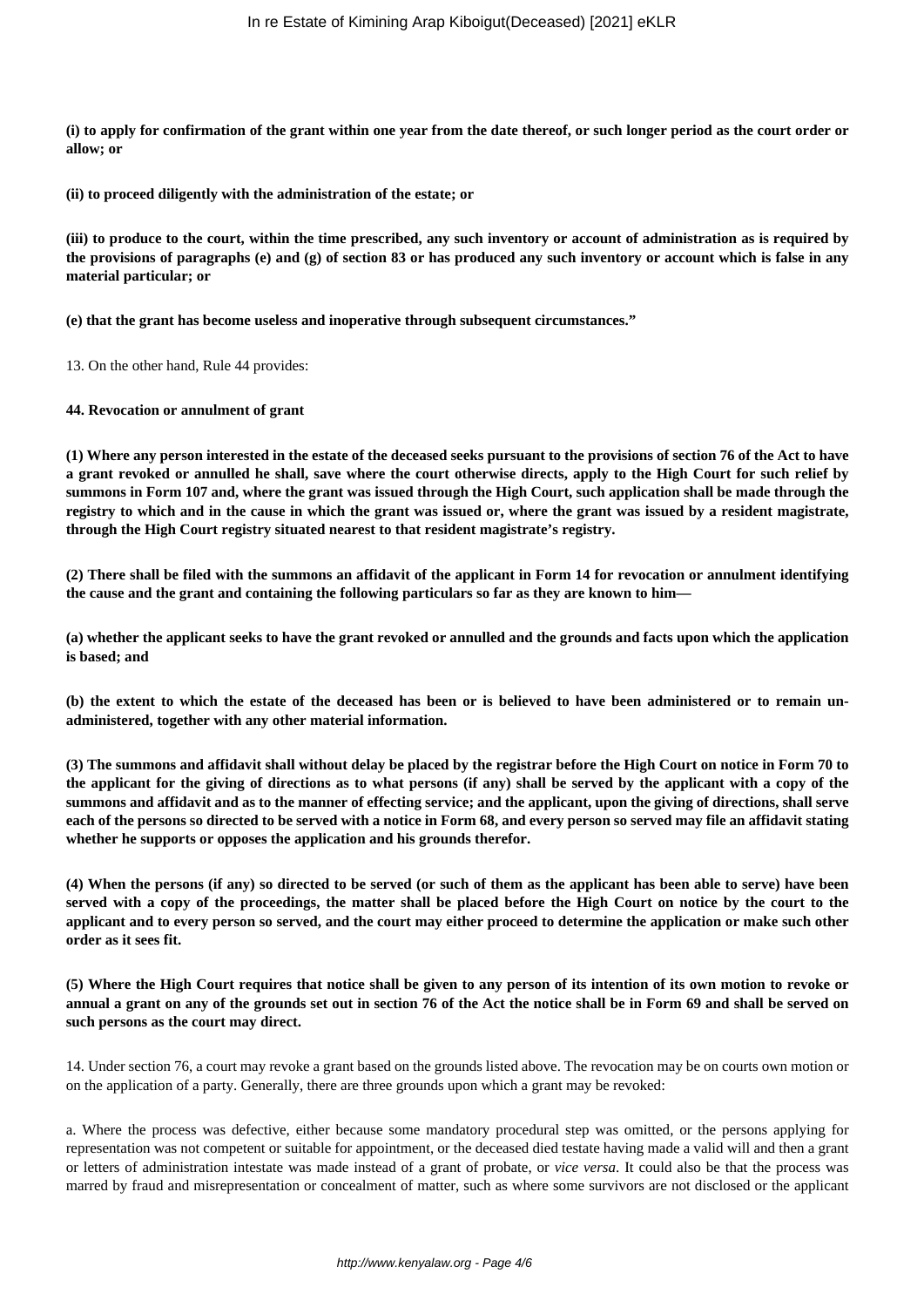**(i) to apply for confirmation of the grant within one year from the date thereof, or such longer period as the court order or allow; or**

**(ii) to proceed diligently with the administration of the estate; or**

**(iii) to produce to the court, within the time prescribed, any such inventory or account of administration as is required by the provisions of paragraphs (e) and (g) of section 83 or has produced any such inventory or account which is false in any material particular; or**

**(e) that the grant has become useless and inoperative through subsequent circumstances."**

13. On the other hand, Rule 44 provides:

### **44. Revocation or annulment of grant**

**(1) Where any person interested in the estate of the deceased seeks pursuant to the provisions of section 76 of the Act to have a grant revoked or annulled he shall, save where the court otherwise directs, apply to the High Court for such relief by summons in Form 107 and, where the grant was issued through the High Court, such application shall be made through the registry to which and in the cause in which the grant was issued or, where the grant was issued by a resident magistrate, through the High Court registry situated nearest to that resident magistrate's registry.**

**(2) There shall be filed with the summons an affidavit of the applicant in Form 14 for revocation or annulment identifying the cause and the grant and containing the following particulars so far as they are known to him—**

**(a) whether the applicant seeks to have the grant revoked or annulled and the grounds and facts upon which the application is based; and**

**(b) the extent to which the estate of the deceased has been or is believed to have been administered or to remain unadministered, together with any other material information.**

**(3) The summons and affidavit shall without delay be placed by the registrar before the High Court on notice in Form 70 to the applicant for the giving of directions as to what persons (if any) shall be served by the applicant with a copy of the summons and affidavit and as to the manner of effecting service; and the applicant, upon the giving of directions, shall serve each of the persons so directed to be served with a notice in Form 68, and every person so served may file an affidavit stating whether he supports or opposes the application and his grounds therefor.**

**(4) When the persons (if any) so directed to be served (or such of them as the applicant has been able to serve) have been served with a copy of the proceedings, the matter shall be placed before the High Court on notice by the court to the applicant and to every person so served, and the court may either proceed to determine the application or make such other order as it sees fit.**

**(5) Where the High Court requires that notice shall be given to any person of its intention of its own motion to revoke or annual a grant on any of the grounds set out in section 76 of the Act the notice shall be in Form 69 and shall be served on such persons as the court may direct.**

14. Under section 76, a court may revoke a grant based on the grounds listed above. The revocation may be on courts own motion or on the application of a party. Generally, there are three grounds upon which a grant may be revoked:

a. Where the process was defective, either because some mandatory procedural step was omitted, or the persons applying for representation was not competent or suitable for appointment, or the deceased died testate having made a valid will and then a grant or letters of administration intestate was made instead of a grant of probate, or *vice versa*. It could also be that the process was marred by fraud and misrepresentation or concealment of matter, such as where some survivors are not disclosed or the applicant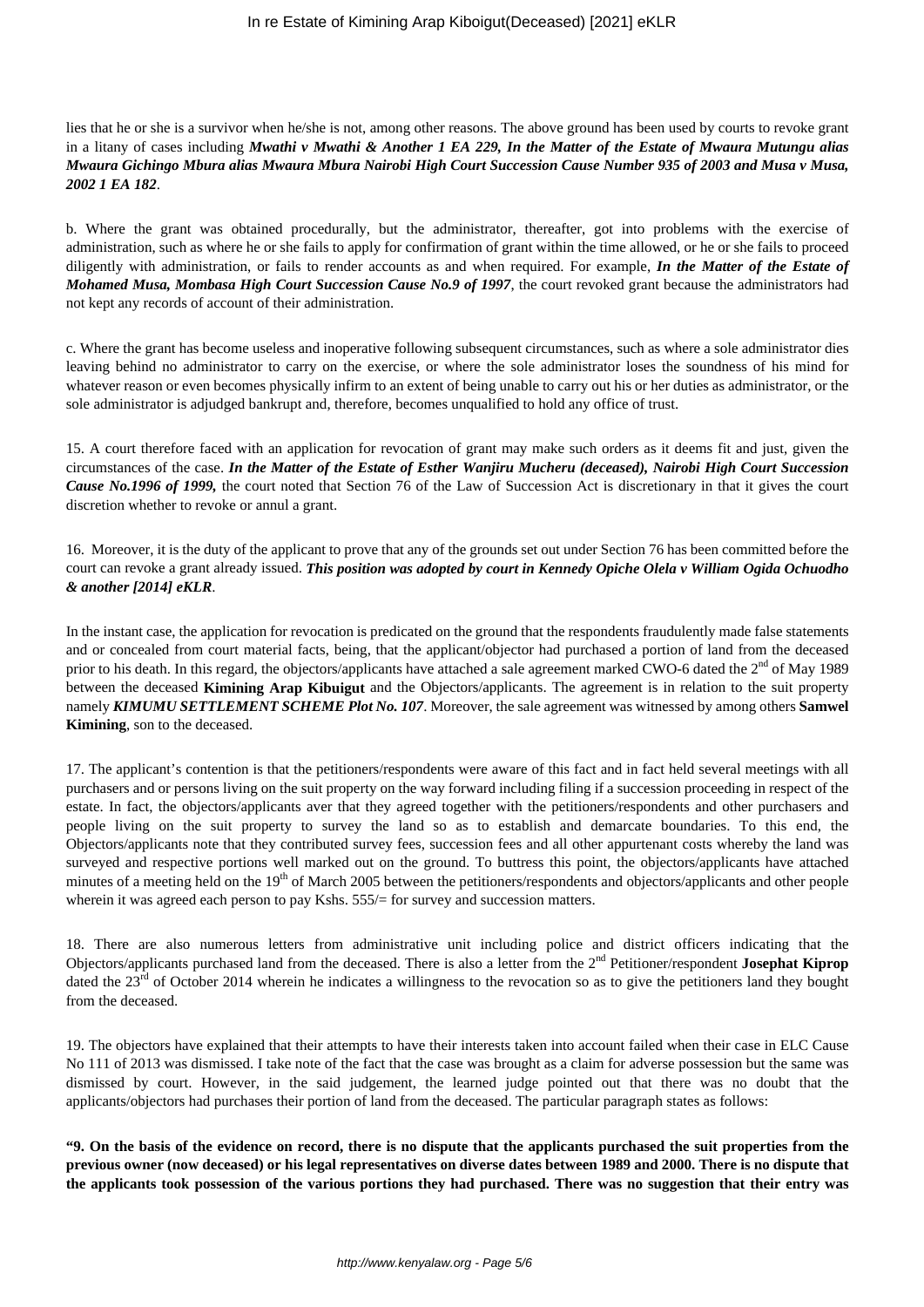lies that he or she is a survivor when he/she is not, among other reasons. The above ground has been used by courts to revoke grant in a litany of cases including *Mwathi v Mwathi & Another 1 EA 229, In the Matter of the Estate of Mwaura Mutungu alias Mwaura Gichingo Mbura alias Mwaura Mbura Nairobi High Court Succession Cause Number 935 of 2003 and Musa v Musa, 2002 1 EA 182*.

b. Where the grant was obtained procedurally, but the administrator, thereafter, got into problems with the exercise of administration, such as where he or she fails to apply for confirmation of grant within the time allowed, or he or she fails to proceed diligently with administration, or fails to render accounts as and when required. For example, *In the Matter of the Estate of Mohamed Musa, Mombasa High Court Succession Cause No.9 of 1997*, the court revoked grant because the administrators had not kept any records of account of their administration.

c. Where the grant has become useless and inoperative following subsequent circumstances, such as where a sole administrator dies leaving behind no administrator to carry on the exercise, or where the sole administrator loses the soundness of his mind for whatever reason or even becomes physically infirm to an extent of being unable to carry out his or her duties as administrator, or the sole administrator is adjudged bankrupt and, therefore, becomes unqualified to hold any office of trust.

15. A court therefore faced with an application for revocation of grant may make such orders as it deems fit and just, given the circumstances of the case. *In the Matter of the Estate of Esther Wanjiru Mucheru (deceased), Nairobi High Court Succession Cause No.1996 of 1999,* the court noted that Section 76 of the Law of Succession Act is discretionary in that it gives the court discretion whether to revoke or annul a grant.

16. Moreover, it is the duty of the applicant to prove that any of the grounds set out under Section 76 has been committed before the court can revoke a grant already issued. *This position was adopted by court in Kennedy Opiche Olela v William Ogida Ochuodho & another [2014] eKLR*.

In the instant case, the application for revocation is predicated on the ground that the respondents fraudulently made false statements and or concealed from court material facts, being, that the applicant/objector had purchased a portion of land from the deceased prior to his death. In this regard, the objectors/applicants have attached a sale agreement marked CWO-6 dated the 2<sup>nd</sup> of May 1989 between the deceased **Kimining Arap Kibuigut** and the Objectors/applicants. The agreement is in relation to the suit property namely *KIMUMU SETTLEMENT SCHEME Plot No. 107*. Moreover, the sale agreement was witnessed by among others **Samwel Kimining**, son to the deceased.

17. The applicant's contention is that the petitioners/respondents were aware of this fact and in fact held several meetings with all purchasers and or persons living on the suit property on the way forward including filing if a succession proceeding in respect of the estate. In fact, the objectors/applicants aver that they agreed together with the petitioners/respondents and other purchasers and people living on the suit property to survey the land so as to establish and demarcate boundaries. To this end, the Objectors/applicants note that they contributed survey fees, succession fees and all other appurtenant costs whereby the land was surveyed and respective portions well marked out on the ground. To buttress this point, the objectors/applicants have attached minutes of a meeting held on the 19<sup>th</sup> of March 2005 between the petitioners/respondents and objectors/applicants and other people wherein it was agreed each person to pay Kshs. 555/= for survey and succession matters.

18. There are also numerous letters from administrative unit including police and district officers indicating that the Objectors/applicants purchased land from the deceased. There is also a letter from the 2nd Petitioner/respondent **Josephat Kiprop** dated the  $23<sup>rd</sup>$  of October 2014 wherein he indicates a willingness to the revocation so as to give the petitioners land they bought from the deceased.

19. The objectors have explained that their attempts to have their interests taken into account failed when their case in ELC Cause No 111 of 2013 was dismissed. I take note of the fact that the case was brought as a claim for adverse possession but the same was dismissed by court. However, in the said judgement, the learned judge pointed out that there was no doubt that the applicants/objectors had purchases their portion of land from the deceased. The particular paragraph states as follows:

**"9. On the basis of the evidence on record, there is no dispute that the applicants purchased the suit properties from the previous owner (now deceased) or his legal representatives on diverse dates between 1989 and 2000. There is no dispute that the applicants took possession of the various portions they had purchased. There was no suggestion that their entry was**